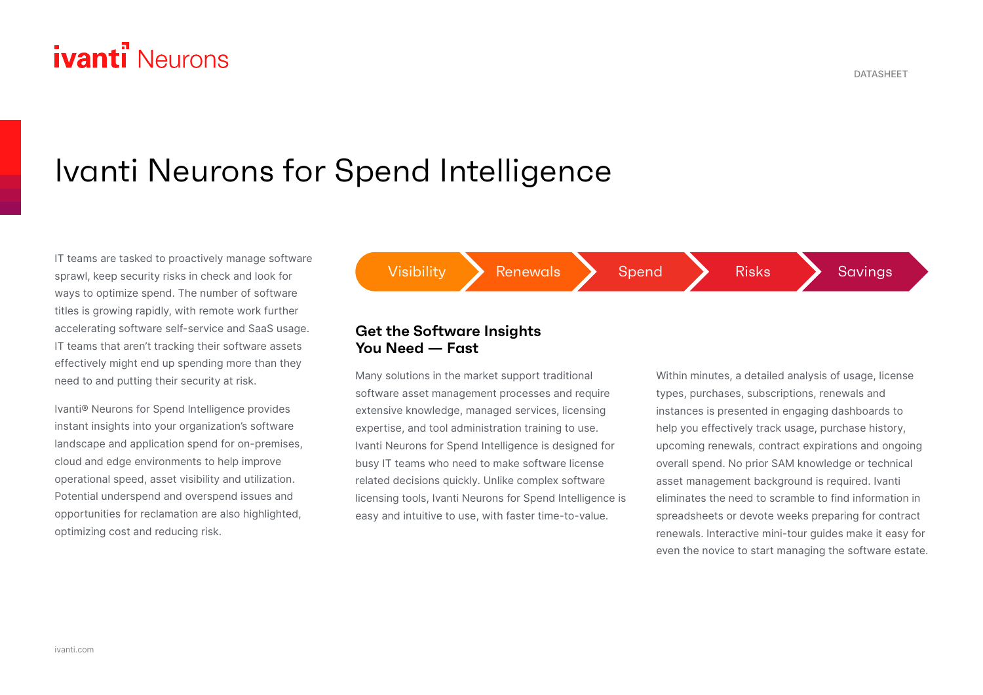# **ivanti** Neurons

## Ivanti Neurons for Spend Intelligence

IT teams are tasked to proactively manage software sprawl, keep security risks in check and look for ways to optimize spend. The number of software titles is growing rapidly, with remote work further accelerating software self-service and SaaS usage. IT teams that aren't tracking their software assets effectively might end up spending more than they need to and putting their security at risk.

Ivanti® Neurons for Spend Intelligence provides instant insights into your organization's software landscape and application spend for on-premises, cloud and edge environments to help improve operational speed, asset visibility and utilization. Potential underspend and overspend issues and opportunities for reclamation are also highlighted, optimizing cost and reducing risk.

Visibility Renewals Spend Risks Savings

#### **Get the Software Insights You Need — Fast**

Many solutions in the market support traditional software asset management processes and require extensive knowledge, managed services, licensing expertise, and tool administration training to use. Ivanti Neurons for Spend Intelligence is designed for busy IT teams who need to make software license related decisions quickly. Unlike complex software licensing tools, Ivanti Neurons for Spend Intelligence is easy and intuitive to use, with faster time-to-value.

Within minutes, a detailed analysis of usage, license types, purchases, subscriptions, renewals and instances is presented in engaging dashboards to help you effectively track usage, purchase history, upcoming renewals, contract expirations and ongoing overall spend. No prior SAM knowledge or technical asset management background is required. Ivanti eliminates the need to scramble to find information in spreadsheets or devote weeks preparing for contract renewals. Interactive mini-tour guides make it easy for even the novice to start managing the software estate.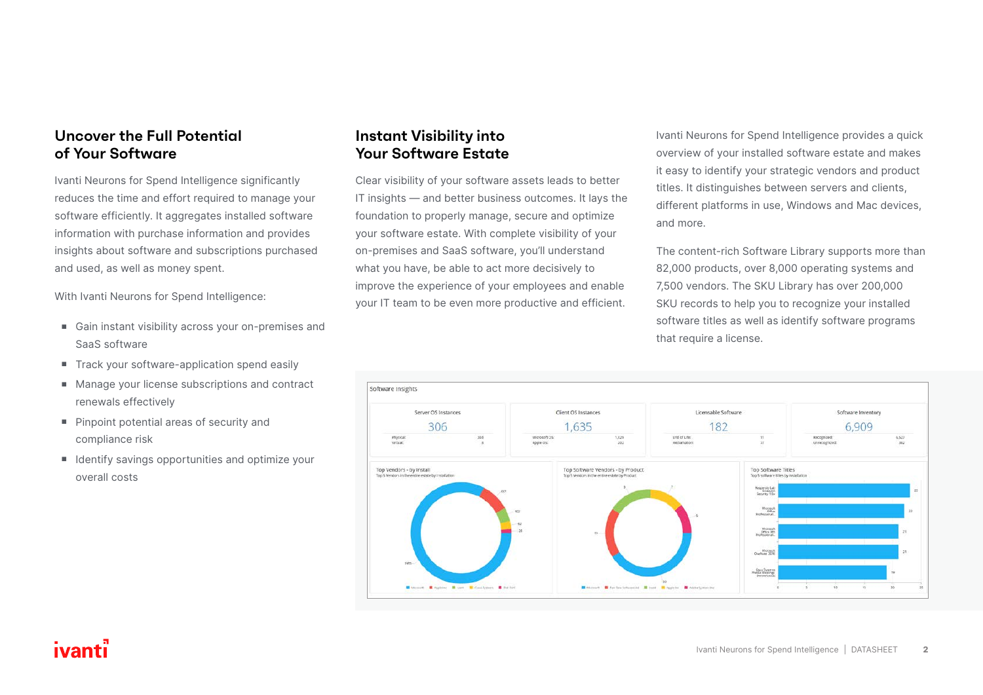### **Uncover the Full Potential of Your Software**

Ivanti Neurons for Spend Intelligence significantly reduces the time and effort required to manage your software efficiently. It aggregates installed software information with purchase information and provides insights about software and subscriptions purchased and used, as well as money spent.

With Ivanti Neurons for Spend Intelligence:

- Gain instant visibility across your on-premises and SaaS software
- Track your software-application spend easily
- Manage your license subscriptions and contract renewals effectively
- Pinpoint potential areas of security and compliance risk
- Identify savings opportunities and optimize your overall costs

### **Instant Visibility into Your Software Estate**

Clear visibility of your software assets leads to better IT insights — and better business outcomes. It lays the foundation to properly manage, secure and optimize your software estate. With complete visibility of your on-premises and SaaS software, you'll understand what you have, be able to act more decisively to improve the experience of your employees and enable your IT team to be even more productive and efficient.

Ivanti Neurons for Spend Intelligence provides a quick overview of your installed software estate and makes it easy to identify your strategic vendors and product titles. It distinguishes between servers and clients, different platforms in use, Windows and Mac devices, and more.

The content-rich Software Library supports more than 82,000 products, over 8,000 operating systems and 7,500 vendors. The SKU Library has over 200,000 SKU records to help you to recognize your installed software titles as well as identify software programs that require a license.



## ivant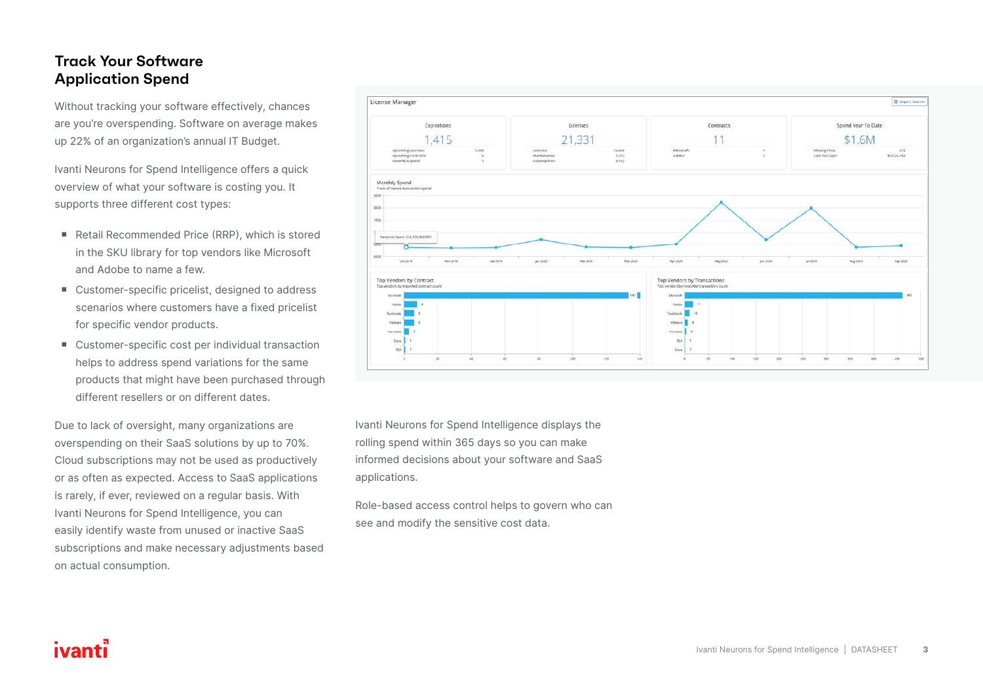### **Track Your Software Application Spend**

Without tracking your software effectively, chances are you're overspending. Software on average makes up 22% of an organization's annual IT Budget.

Ivanti Neurons for Spend Intelligence offers a quick overview of what your software is costing you. It supports three different cost types:

- Retail Recommended Price (RRP), which is stored in the SKU library for top vendors like Microsoft and Adobe to name a few.
- Customer-specific pricelist, designed to address scenarios where customers have a fixed pricelist for specific vendor products.
- Customer-specific cost per individual transaction helps to address spend variations for the same products that might have been purchased through different resellers or on different dates.

Due to lack of oversight, many organizations are overspending on their SaaS solutions by up to 70%. Cloud subscriptions may not be used as productively or as often as expected. Access to SaaS applications is rarely, if ever, reviewed on a regular basis. With Ivanti Neurons for Spend Intelligence, you can easily identify waste from unused or inactive SaaS subscriptions and make necessary adjustments based on actual consumption.



Ivanti Neurons for Spend Intelligence displays the rolling spend within 365 days so you can make informed decisions about your software and SaaS applications.

Role-based access control helps to govern who can see and modify the sensitive cost data.

## ivanti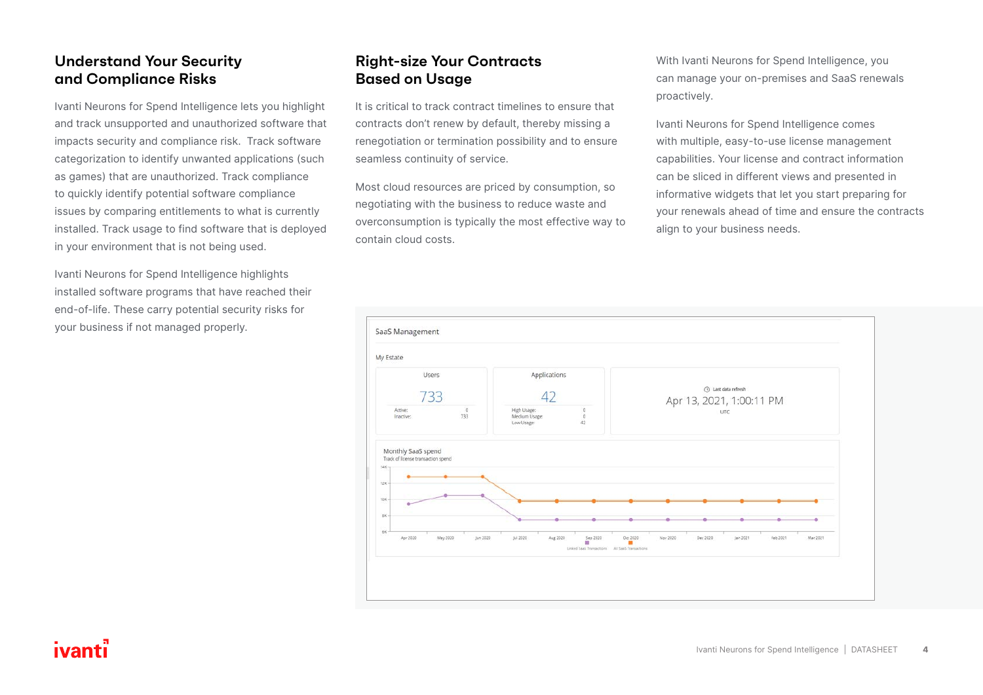### **Understand Your Security and Compliance Risks**

Ivanti Neurons for Spend Intelligence lets you highlight and track unsupported and unauthorized software that impacts security and compliance risk. Track software categorization to identify unwanted applications (such as games) that are unauthorized. Track compliance to quickly identify potential software compliance issues by comparing entitlements to what is currently installed. Track usage to find software that is deployed in your environment that is not being used.

Ivanti Neurons for Spend Intelligence highlights installed software programs that have reached their end-of-life. These carry potential security risks for your business if not managed properly.

### **Right-size Your Contracts Based on Usage**

It is critical to track contract timelines to ensure that contracts don't renew by default, thereby missing a renegotiation or termination possibility and to ensure seamless continuity of service.

Most cloud resources are priced by consumption, so negotiating with the business to reduce waste and overconsumption is typically the most effective way to contain cloud costs.

With Ivanti Neurons for Spend Intelligence, you can manage your on-premises and SaaS renewals proactively.

Ivanti Neurons for Spend Intelligence comes with multiple, easy-to-use license management capabilities. Your license and contract information can be sliced in different views and presented in informative widgets that let you start preparing for your renewals ahead of time and ensure the contracts align to your business needs.



### ivanti